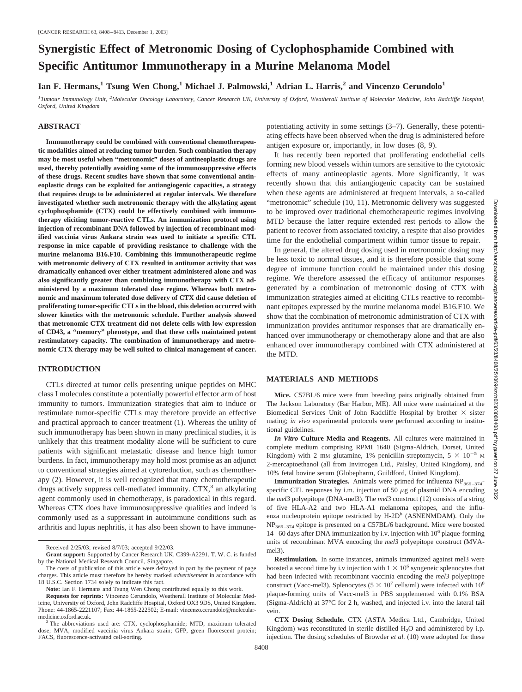# **Synergistic Effect of Metronomic Dosing of Cyclophosphamide Combined with Specific Antitumor Immunotherapy in a Murine Melanoma Model**

Ian F. Hermans,<sup>1</sup> Tsung Wen Chong,<sup>1</sup> Michael J. Palmowski,<sup>1</sup> Adrian L. Harris,<sup>2</sup> and Vincenzo Cerundolo<sup>1</sup>

*1 Tumour Immunology Unit, <sup>2</sup> Molecular Oncology Laboratory, Cancer Research UK, University of Oxford, Weatherall Institute of Molecular Medicine, John Radcliffe Hospital, Oxford, United Kingdom*

#### **ABSTRACT**

**Immunotherapy could be combined with conventional chemotherapeutic modalities aimed at reducing tumor burden. Such combination therapy may be most useful when "metronomic" doses of antineoplastic drugs are used, thereby potentially avoiding some of the immunosuppressive effects of these drugs. Recent studies have shown that some conventional antineoplastic drugs can be exploited for antiangiogenic capacities, a strategy that requires drugs to be administered at regular intervals. We therefore investigated whether such metronomic therapy with the alkylating agent cyclophosphamide (CTX) could be effectively combined with immunotherapy eliciting tumor-reactive CTLs. An immunization protocol using injection of recombinant DNA followed by injection of recombinant modified vaccinia virus Ankara strain was used to initiate a specific CTL response in mice capable of providing resistance to challenge with the murine melanoma B16.F10. Combining this immunotherapeutic regime with metronomic delivery of CTX resulted in antitumor activity that was dramatically enhanced over either treatment administered alone and was also significantly greater than combining immunotherapy with CTX administered by a maximum tolerated dose regime. Whereas both metronomic and maximum tolerated dose delivery of CTX did cause deletion of proliferating tumor-specific CTLs in the blood, this deletion occurred with slower kinetics with the metronomic schedule. Further analysis showed that metronomic CTX treatment did not delete cells with low expression of CD43, a "memory" phenotype, and that these cells maintained potent restimulatory capacity. The combination of immunotherapy and metronomic CTX therapy may be well suited to clinical management of cancer.**

## **INTRODUCTION**

CTLs directed at tumor cells presenting unique peptides on MHC class I molecules constitute a potentially powerful effector arm of host immunity to tumors. Immunization strategies that aim to induce or restimulate tumor-specific CTLs may therefore provide an effective and practical approach to cancer treatment (1). Whereas the utility of such immunotherapy has been shown in many preclinical studies, it is unlikely that this treatment modality alone will be sufficient to cure patients with significant metastatic disease and hence high tumor burdens. In fact, immunotherapy may hold most promise as an adjunct to conventional strategies aimed at cytoreduction, such as chemotherapy (2). However, it is well recognized that many chemotherapeutic drugs actively suppress cell-mediated immunity.  $CTX$ ,<sup>3</sup> an alkylating agent commonly used in chemotherapy, is paradoxical in this regard. Whereas CTX does have immunosuppressive qualities and indeed is commonly used as a suppressant in autoimmune conditions such as arthritis and lupus nephritis, it has also been shown to have immunepotentiating activity in some settings (3–7). Generally, these potentiating effects have been observed when the drug is administered before antigen exposure or, importantly, in low doses (8, 9).

It has recently been reported that proliferating endothelial cells forming new blood vessels within tumors are sensitive to the cytotoxic effects of many antineoplastic agents. More significantly, it was recently shown that this antiangiogenic capacity can be sustained when these agents are administered at frequent intervals, a so-called "metronomic" schedule (10, 11). Metronomic delivery was suggested to be improved over traditional chemotherapeutic regimes involving MTD because the latter require extended rest periods to allow the patient to recover from associated toxicity, a respite that also provides time for the endothelial compartment within tumor tissue to repair.

In general, the altered drug dosing used in metronomic dosing may be less toxic to normal tissues, and it is therefore possible that some degree of immune function could be maintained under this dosing regime. We therefore assessed the efficacy of antitumor responses generated by a combination of metronomic dosing of CTX with immunization strategies aimed at eliciting CTLs reactive to recombinant epitopes expressed by the murine melanoma model B16.F10. We show that the combination of metronomic administration of CTX with immunization provides antitumor responses that are dramatically enhanced over immunotherapy or chemotherapy alone and that are also enhanced over immunotherapy combined with CTX administered at the MTD.

#### **MATERIALS AND METHODS**

**Mice.** C57BL/6 mice were from breeding pairs originally obtained from The Jackson Laboratory (Bar Harbor, ME). All mice were maintained at the Biomedical Services Unit of John Radcliffe Hospital by brother  $\times$  sister mating; *in vivo* experimental protocols were performed according to institutional guidelines.

*In Vitro* **Culture Media and Reagents.** All cultures were maintained in complete medium comprising RPMI 1640 (Sigma-Aldrich, Dorset, United Kingdom) with 2 mM glutamine, 1% penicillin-streptomycin,  $5 \times 10^{-5}$  M 2-mercaptoethanol (all from Invitrogen Ltd., Paisley, United Kingdom), and 10% fetal bovine serum (Globepharm, Guildford, United Kingdom).

**Immunization Strategies.** Animals were primed for influenza NP<sub>366–374</sub>specific CTL responses by i.m. injection of 50  $\mu$ g of plasmid DNA encoding the *mel3* polyepitope (DNA-mel3). The *mel3* construct (12) consists of a string of five HLA-A2 and two HLA-A1 melanoma epitopes, and the influenza nucleoprotein epitope restricted by  $H$ -2D<sup>b</sup> (ASNENMDAM). Only the NP366–374 epitope is presented on a C57BL/6 background. Mice were boosted  $14-60$  days after DNA immunization by i.v. injection with  $10<sup>6</sup>$  plaque-forming units of recombinant MVA encoding the *mel3* polyepitope construct (MVAmel3).

**Restimulation.** In some instances, animals immunized against mel3 were boosted a second time by i.v injection with  $1 \times 10^6$  syngeneic splenocytes that had been infected with recombinant vaccinia encoding the *mel3* polyepitope construct (Vacc-mel3). Splenocytes ( $5 \times 10^7$  cells/ml) were infected with  $10^8$ plaque-forming units of Vacc-mel3 in PBS supplemented with 0.1% BSA (Sigma-Aldrich) at 37°C for 2 h, washed, and injected i.v. into the lateral tail vein.

**CTX Dosing Schedule.** CTX (ASTA Medica Ltd., Cambridge, United Kingdom) was reconstituted in sterile distilled H<sub>2</sub>O and administered by i.p. injection. The dosing schedules of Browder *et al.* (10) were adopted for these

Received 2/25/03; revised 8/7/03; accepted 9/22/03.

**Grant support:** Supported by Cancer Research UK, C399-A2291. T. W. C. is funded by the National Medical Research Council, Singapore.

The costs of publication of this article were defrayed in part by the payment of page charges. This article must therefore be hereby marked *advertisement* in accordance with 18 U.S.C. Section 1734 solely to indicate this fact.

**Note:** Ian F. Hermans and Tsung Wen Chong contributed equally to this work.

**Requests for reprints:** Vincenzo Cerundolo, Weatherall Institute of Molecular Medicine, University of Oxford, John Radcliffe Hospital, Oxford OX3 9DS, United Kingdom. Phone: 44-1865-2221107; Fax: 44-1865-222502; E-mail: vincenzo.cerundolo@molecularmedicine.oxford.ac.uk.<br><sup>3</sup> The abbreviations used are: CTX, cyclophosphamide; MTD, maximum tolerated

dose; MVA, modified vaccinia virus Ankara strain; GFP, green fluorescent protein; FACS, fluorescence-activated cell-sorting.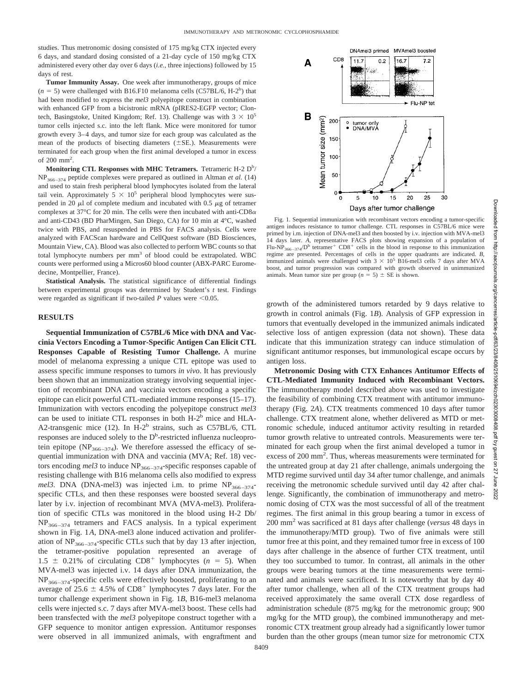studies. Thus metronomic dosing consisted of 175 mg/kg CTX injected every 6 days, and standard dosing consisted of a 21-day cycle of 150 mg/kg CTX administered every other day over 6 days (*i.e.,* three injections) followed by 15 days of rest.

**Tumor Immunity Assay.** One week after immunotherapy, groups of mice  $(n = 5)$  were challenged with B16.F10 melanoma cells (C57BL/6, H-2<sup>b</sup>) that had been modified to express the *mel3* polyepitope construct in combination with enhanced GFP from a bicistronic mRNA (pIRES2-EGFP vector; Clontech, Basingstoke, United Kingdom; Ref. 13). Challenge was with  $3 \times 10^5$ tumor cells injected s.c. into the left flank. Mice were monitored for tumor growth every 3–4 days, and tumor size for each group was calculated as the mean of the products of bisecting diameters  $(\pm SE)$ . Measurements were terminated for each group when the first animal developed a tumor in excess of 200 mm2 .

Monitoring CTL Responses with MHC Tetramers. Tetrameric H-2 D<sup>b</sup>/ NP366–374 peptide complexes were prepared as outlined in Altman *et al.* (14) and used to stain fresh peripheral blood lymphocytes isolated from the lateral tail vein. Approximately  $5 \times 10^5$  peripheral blood lymphocytes were suspended in 20  $\mu$ l of complete medium and incubated with 0.5  $\mu$ g of tetramer complexes at 37 $\rm{^{\circ}C}$  for 20 min. The cells were then incubated with anti-CD8 $\alpha$ and anti-CD43 (BD PharMingen, San Diego, CA) for 10 min at 4°C, washed twice with PBS, and resuspended in PBS for FACS analysis. Cells were analyzed with FACScan hardware and CellQuest software (BD Biosciences, Mountain View, CA). Blood was also collected to perform WBC counts so that total lymphocyte numbers per mm<sup>3</sup> of blood could be extrapolated. WBC counts were performed using a Micros60 blood counter (ABX-PARC Euromedecine, Montpellier, France).

**Statistical Analysis.** The statistical significance of differential findings between experimental groups was determined by Student's *t* test. Findings were regarded as significant if two-tailed  $P$  values were  $\leq 0.05$ .

## **RESULTS**

**Sequential Immunization of C57BL/6 Mice with DNA and Vaccinia Vectors Encoding a Tumor-Specific Antigen Can Elicit CTL Responses Capable of Resisting Tumor Challenge.** A murine model of melanoma expressing a unique CTL epitope was used to assess specific immune responses to tumors *in vivo*. It has previously been shown that an immunization strategy involving sequential injection of recombinant DNA and vaccinia vectors encoding a specific epitope can elicit powerful CTL-mediated immune responses (15–17). Immunization with vectors encoding the polyepitope construct *mel3* can be used to initiate CTL responses in both  $H-2<sup>b</sup>$  mice and  $HLA-$ A2-transgenic mice (12). In H-2<sup>b</sup> strains, such as C57BL/6, CTL responses are induced solely to the D<sup>b</sup>-restricted influenza nucleoprotein epitope (NP<sub>366–374</sub>). We therefore assessed the efficacy of sequential immunization with DNA and vaccinia (MVA; Ref. 18) vectors encoding mel3 to induce NP<sub>366-374</sub>-specific responses capable of resisting challenge with B16 melanoma cells also modified to express *mel3*. DNA (DNA-mel3) was injected i.m. to prime  $NP<sub>366–374</sub>$ specific CTLs, and then these responses were boosted several days later by i.v. injection of recombinant MVA (MVA-mel3). Proliferation of specific CTLs was monitored in the blood using H-2 Db/  $NP<sub>366–374</sub>$  tetramers and FACS analysis. In a typical experiment shown in Fig. 1*A*, DNA-mel3 alone induced activation and proliferation of  $NP<sub>366–374</sub>$ -specific CTLs such that by day 13 after injection, the tetramer-positive population represented an average of  $1.5 \pm 0.21\%$  of circulating CD8<sup>+</sup> lymphocytes ( $n = 5$ ). When MVA-mel3 was injected i.v. 14 days after DNA immunization, the  $NP<sub>366–374</sub>$ -specific cells were effectively boosted, proliferating to an average of 25.6  $\pm$  4.5% of CD8<sup>+</sup> lymphocytes 7 days later. For the tumor challenge experiment shown in Fig. 1*B*, B16-mel3 melanoma cells were injected s.c. 7 days after MVA-mel3 boost. These cells had been transfected with the *mel3* polyepitope construct together with a GFP sequence to monitor antigen expression. Antitumor responses were observed in all immunized animals, with engraftment and



Days after tumor challenge

Fig. 1. Sequential immunization with recombinant vectors encoding a tumor-specific antigen induces resistance to tumor challenge. CTL responses in C57BL/6 mice were primed by i.m. injection of DNA-mel3 and then boosted by i.v. injection with MVA-mel3 14 days later. *A,* representative FACS plots showing expansion of a population of Flu-NP<sub>366–374</sub>/D<sup>b</sup> tetramer<sup>+</sup> CD8<sup>+</sup> cells in the blood in response to this immunization regime are presented. Percentages of cells in the upper quadrants are indicated. *B,* immunized animals were challenged with  $3 \times 10^5$  B16-mel3 cells 7 days after MVA boost, and tumor progression was compared with growth observed in unimmunized animals. Mean tumor size per group ( $n = 5$ )  $\pm$  SE is shown.

growth of the administered tumors retarded by 9 days relative to growth in control animals (Fig. 1*B*). Analysis of GFP expression in tumors that eventually developed in the immunized animals indicated selective loss of antigen expression (data not shown). These data indicate that this immunization strategy can induce stimulation of significant antitumor responses, but immunological escape occurs by antigen loss.

**Metronomic Dosing with CTX Enhances Antitumor Effects of CTL-Mediated Immunity Induced with Recombinant Vectors.** The immunotherapy model described above was used to investigate the feasibility of combining CTX treatment with antitumor immunotherapy (Fig. 2*A*). CTX treatments commenced 10 days after tumor challenge. CTX treatment alone, whether delivered as MTD or metronomic schedule, induced antitumor activity resulting in retarded tumor growth relative to untreated controls. Measurements were terminated for each group when the first animal developed a tumor in excess of 200 mm<sup>2</sup>. Thus, whereas measurements were terminated for the untreated group at day 21 after challenge, animals undergoing the MTD regime survived until day 34 after tumor challenge, and animals receiving the metronomic schedule survived until day 42 after challenge. Significantly, the combination of immunotherapy and metronomic dosing of CTX was the most successful of all of the treatment regimes. The first animal in this group bearing a tumor in excess of 200 mm2 was sacrificed at 81 days after challenge (*versus* 48 days in the immunotherapy/MTD group). Two of five animals were still tumor free at this point, and they remained tumor free in excess of 100 days after challenge in the absence of further CTX treatment, until they too succumbed to tumor. In contrast, all animals in the other groups were bearing tumors at the time measurements were terminated and animals were sacrificed. It is noteworthy that by day 40 after tumor challenge, when all of the CTX treatment groups had received approximately the same overall CTX dose regardless of administration schedule (875 mg/kg for the metronomic group; 900 mg/kg for the MTD group), the combined immunotherapy and metronomic CTX treatment group already had a significantly lower tumor burden than the other groups (mean tumor size for metronomic CTX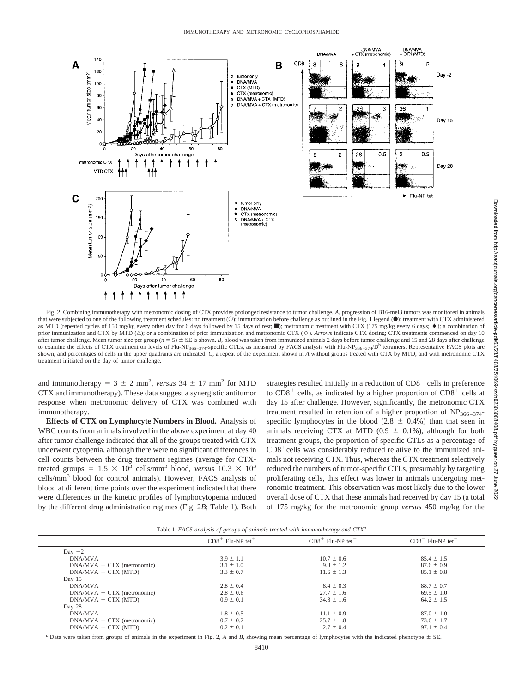

Fig. 2. Combining immunotherapy with metronomic dosing of CTX provides prolonged resistance to tumor challenge. *A,* progression of B16-mel3 tumors was monitored in animals that were subjected to one of the following treatment schedules: no treatment (O); immunization before challenge as outlined in the Fig. 1 legend (.); treatment with CTX administered as MTD (repeated cycles of 150 mg/kg every other day for 6 days followed by 15 days of rest; netronomic treatment with CTX (175 mg/kg every 6 days;  $\bullet$ ); a combination of prior immunization and CTX by MTD ( $\triangle$ ); or a combination of prior immunization and metronomic CTX ( $\diamond$ ). *Arrows* indicate CTX dosing; CTX treatments commenced on day 10 after tumor challenge. Mean tumor size per group ( $n = 5$ )  $\pm$  SE is shown. *B*, blood was taken from immunized animals 2 days before tumor challenge and 15 and 28 days after challenge to examine the effects of CTX treatment on levels of Flu-NP<sub>366–374</sub>-specific CTLs, as measured by FACS analysis with Flu-NP<sub>366–374</sub>/D<sup>b</sup> tetramers. Representative FACS plots are shown, and percentages of cells in the upper quadrants are indicated. *C*, a repeat of the experiment shown in *A* without groups treated with CTX by MTD, and with metronomic CTX treatment initiated on the day of tumor challenge.

and immunotherapy =  $3 \pm 2$  mm<sup>2</sup>, *versus*  $34 \pm 17$  mm<sup>2</sup> for MTD CTX and immunotherapy). These data suggest a synergistic antitumor response when metronomic delivery of CTX was combined with immunotherapy.

**Effects of CTX on Lymphocyte Numbers in Blood.** Analysis of WBC counts from animals involved in the above experiment at day 40 after tumor challenge indicated that all of the groups treated with CTX underwent cytopenia, although there were no significant differences in cell counts between the drug treatment regimes (average for CTXtreated groups =  $1.5 \times 10^3$  cells/mm<sup>3</sup> blood, *versus*  $10.3 \times 10^3$ cells/mm3 blood for control animals). However, FACS analysis of blood at different time points over the experiment indicated that there were differences in the kinetic profiles of lymphocytopenia induced by the different drug administration regimes (Fig. 2*B*; Table 1). Both

strategies resulted initially in a reduction of  $CD8<sup>-</sup>$  cells in preference to  $CD8<sup>+</sup>$  cells, as indicated by a higher proportion of  $CD8<sup>+</sup>$  cells at day 15 after challenge. However, significantly, the metronomic CTX treatment resulted in retention of a higher proportion of  $NP<sub>366–374</sub>$ specific lymphocytes in the blood (2.8  $\pm$  0.4%) than that seen in animals receiving CTX at MTD (0.9  $\pm$  0.1%), although for both treatment groups, the proportion of specific CTLs as a percentage of  $CD8<sup>+</sup>$ cells was considerably reduced relative to the immunized animals not receiving CTX. Thus, whereas the CTX treatment selectively reduced the numbers of tumor-specific CTLs, presumably by targeting proliferating cells, this effect was lower in animals undergoing metronomic treatment. This observation was most likely due to the lower overall dose of CTX that these animals had received by day 15 (a total of 175 mg/kg for the metronomic group *versus* 450 mg/kg for the

|  |  |  |  |  |  |  | Table 1 FACS analysis of groups of animals treated with immunotherapy and CTX <sup>a</sup> |  |  |
|--|--|--|--|--|--|--|--------------------------------------------------------------------------------------------|--|--|
|--|--|--|--|--|--|--|--------------------------------------------------------------------------------------------|--|--|

|                              | $CD8+$ Flu-NP tet <sup>+</sup> | $CD8+$ Flu-NP tet | $CD8$ <sup>-</sup> Flu-NP tet <sup>-</sup> |  |
|------------------------------|--------------------------------|-------------------|--------------------------------------------|--|
| Day $-2$                     |                                |                   |                                            |  |
| DNA/MVA                      | $3.9 \pm 1.1$                  | $10.7 \pm 0.6$    | $85.4 \pm 1.5$                             |  |
| $DNA/MVA + CTX$ (metronomic) | $3.1 \pm 1.0$                  | $9.3 \pm 1.2$     | $87.6 \pm 0.9$                             |  |
| $DNA/MVA + CTX (MTD)$        | $3.3 \pm 0.7$                  | $11.6 \pm 1.3$    | $85.1 \pm 0.8$                             |  |
| Day 15                       |                                |                   |                                            |  |
| DNA/MVA                      | $2.8 \pm 0.4$                  | $8.4 \pm 0.3$     | $88.7 \pm 0.7$                             |  |
| $DNA/MVA + CTX$ (metronomic) | $2.8 \pm 0.6$                  | $27.7 \pm 1.6$    | $69.5 \pm 1.0$                             |  |
| $DNA/MVA + CTX (MTD)$        | $0.9 \pm 0.1$                  | $34.8 \pm 1.6$    | $64.2 \pm 1.5$                             |  |
| Day 28                       |                                |                   |                                            |  |
| <b>DNA/MVA</b>               | $1.8 \pm 0.5$                  | $11.1 \pm 0.9$    | $87.0 \pm 1.0$                             |  |
| $DNA/MVA + CTX$ (metronomic) | $0.7 \pm 0.2$                  | $25.7 \pm 1.8$    | $73.6 \pm 1.7$                             |  |
| $DNAMVA + CTX (MTD)$         | $0.2 \pm 0.1$                  | $2.7 \pm 0.4$     | $97.1 \pm 0.4$                             |  |
|                              |                                |                   |                                            |  |

*a* Data were taken from groups of animals in the experiment in Fig. 2, *A* and *B*, showing mean percentage of lymphocytes with the indicated phenotype  $\pm$  SE.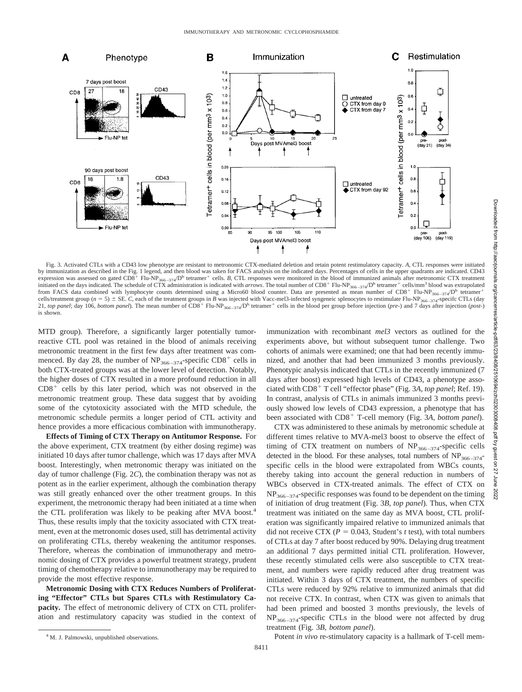

Fig. 3. Activated CTLs with a CD43 low phenotype are resistant to metronomic CTX-mediated deletion and retain potent restimulatory capacity. *A,* CTL responses were initiated by immunization as described in the Fig. 1 legend, and then blood was taken for FACS analysis on the indicated days. Percentages of cells in the upper quadrants are indicated. CD43 expression was assessed on gated CD8<sup>+</sup> Flu-NP<sub>366–374</sub>/D<sup>b</sup> tetramer<sup>+</sup> cells. *B*, CTL responses were monitored in the blood of immunized animals after metronomic CTX treatment initiated on the days indicated. The schedule of CTX administration is indicated with *arrows*. The total number of CD8<sup>+</sup> Flu-NP<sub>366–374</sub>/D<sup>b</sup> tetramer<sup>+</sup> cells/mm<sup>3</sup> blood was extrapolated from FACS data combined with lymphocyte counts determined using a Micro60 blood counter. Data are presented as mean number of  $CD8^+$  Flu-NP<sub>366–374</sub>/D<sup>b</sup> tetramer<sup>+</sup> cells/treatment group ( $n = 5$ )  $\pm$  SE. *C*, each of the treatment groups in *B* was injected with Vacc-mel3-infected syngeneic splenocytes to restimulate Flu-NP<sub>366–374</sub>-specifc CTLs (day 21, *top panel*; day 106, *bottom panel*). The mean number of CD8<sup>+</sup> Flu-NP<sub>366–374</sub>/D<sup>b</sup> tetramer<sup>+</sup> cells in the blood per group before injection (*pre-*) and 7 days after injection (*post-*) is shown.

MTD group). Therefore, a significantly larger potentially tumorreactive CTL pool was retained in the blood of animals receiving metronomic treatment in the first few days after treatment was commenced. By day 28, the number of  $NP_{366-374}$ -specific CD8<sup>+</sup> cells in both CTX-treated groups was at the lower level of detection. Notably, the higher doses of CTX resulted in a more profound reduction in all  $CD8<sup>+</sup>$  cells by this later period, which was not observed in the metronomic treatment group. These data suggest that by avoiding some of the cytotoxicity associated with the MTD schedule, the metronomic schedule permits a longer period of CTL activity and hence provides a more efficacious combination with immunotherapy.

**Effects of Timing of CTX Therapy on Antitumor Response.** For the above experiment, CTX treatment (by either dosing regime) was initiated 10 days after tumor challenge, which was 17 days after MVA boost. Interestingly, when metronomic therapy was initiated on the day of tumor challenge (Fig. 2*C*), the combination therapy was not as potent as in the earlier experiment, although the combination therapy was still greatly enhanced over the other treatment groups. In this experiment, the metronomic therapy had been initiated at a time when the CTL proliferation was likely to be peaking after MVA boost.<sup>4</sup> Thus, these results imply that the toxicity associated with CTX treatment, even at the metronomic doses used, still has detrimental activity on proliferating CTLs, thereby weakening the antitumor responses. Therefore, whereas the combination of immunotherapy and metronomic dosing of CTX provides a powerful treatment strategy, prudent timing of chemotherapy relative to immunotherapy may be required to provide the most effective response.

**Metronomic Dosing with CTX Reduces Numbers of Proliferating "Effector" CTLs but Spares CTLs with Restimulatory Capacity.** The effect of metronomic delivery of CTX on CTL proliferation and restimulatory capacity was studied in the context of immunization with recombinant *mel3* vectors as outlined for the experiments above, but without subsequent tumor challenge. Two cohorts of animals were examined; one that had been recently immunized, and another that had been immunized 3 months previously. Phenotypic analysis indicated that CTLs in the recently immunized (7 days after boost) expressed high levels of CD43, a phenotype associated with CD8<sup>+</sup> T cell "effector phase" (Fig. 3A, top panel; Ref. 19). In contrast, analysis of CTLs in animals immunized 3 months previously showed low levels of CD43 expression, a phenotype that has been associated with CD8<sup>+</sup> T-cell memory (Fig. 3A, bottom panel).

CTX was administered to these animals by metronomic schedule at different times relative to MVA-mel3 boost to observe the effect of timing of CTX treatment on numbers of  $NP<sub>366-374</sub>$ -specific cells detected in the blood. For these analyses, total numbers of  $NP_{366-374}$ specific cells in the blood were extrapolated from WBCs counts, thereby taking into account the general reduction in numbers of WBCs observed in CTX-treated animals. The effect of CTX on  $NP<sub>366–374</sub>$ -specific responses was found to be dependent on the timing of initiation of drug treatment (Fig. 3*B, top panel*). Thus, when CTX treatment was initiated on the same day as MVA boost, CTL proliferation was significantly impaired relative to immunized animals that did not receive CTX ( $P = 0.043$ , Student's *t* test), with total numbers of CTLs at day 7 after boost reduced by 90%. Delaying drug treatment an additional 7 days permitted initial CTL proliferation. However, these recently stimulated cells were also susceptible to CTX treatment, and numbers were rapidly reduced after drug treatment was initiated. Within 3 days of CTX treatment, the numbers of specific CTLs were reduced by 92% relative to immunized animals that did not receive CTX. In contrast, when CTX was given to animals that had been primed and boosted 3 months previously, the levels of  $NP<sub>366–374</sub>$ -specific CTLs in the blood were not affected by drug treatment (Fig. 3*B, bottom panel*).

<sup>4</sup> M. J. Palmowski, unpublished observations. **Example 2018** Potent *in vivo* re-stimulatory capacity is a hallmark of T-cell mem-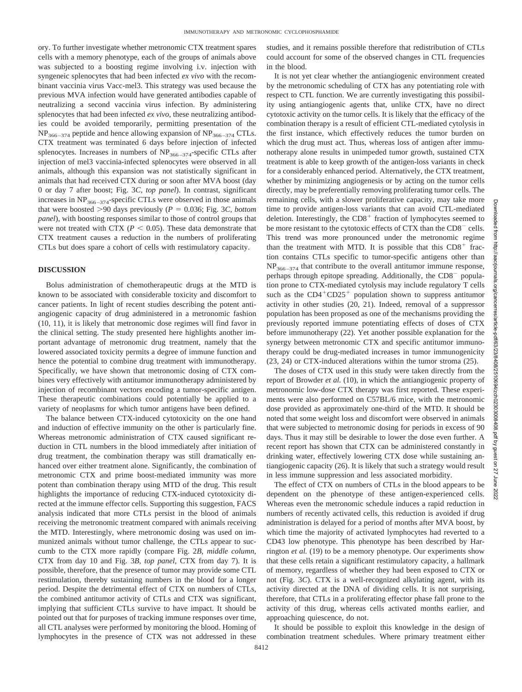ory. To further investigate whether metronomic CTX treatment spares cells with a memory phenotype, each of the groups of animals above was subjected to a boosting regime involving i.v. injection with syngeneic splenocytes that had been infected *ex vivo* with the recombinant vaccinia virus Vacc-mel3. This strategy was used because the previous MVA infection would have generated antibodies capable of neutralizing a second vaccinia virus infection. By administering splenocytes that had been infected *ex vivo*, these neutralizing antibodies could be avoided temporarily, permitting presentation of the  $NP<sub>366–374</sub>$  peptide and hence allowing expansion of  $NP<sub>366–374</sub> CTLs.$ CTX treatment was terminated 6 days before injection of infected splenocytes. Increases in numbers of  $NP<sub>366–374</sub>$ -specific CTLs after injection of mel3 vaccinia-infected splenocytes were observed in all animals, although this expansion was not statistically significant in animals that had received CTX during or soon after MVA boost (day 0 or day 7 after boost; Fig. 3*C, top panel*). In contrast, significant increases in  $NP<sub>366–374</sub>$ -specific CTLs were observed in those animals that were boosted  $>90$  days previously ( $P = 0.036$ ; Fig. 3*C, bottom panel*), with boosting responses similar to those of control groups that were not treated with CTX ( $P < 0.05$ ). These data demonstrate that CTX treatment causes a reduction in the numbers of proliferating CTLs but does spare a cohort of cells with restimulatory capacity.

## **DISCUSSION**

Bolus administration of chemotherapeutic drugs at the MTD is known to be associated with considerable toxicity and discomfort to cancer patients. In light of recent studies describing the potent antiangiogenic capacity of drug administered in a metronomic fashion (10, 11), it is likely that metronomic dose regimes will find favor in the clinical setting. The study presented here highlights another important advantage of metronomic drug treatment, namely that the lowered associated toxicity permits a degree of immune function and hence the potential to combine drug treatment with immunotherapy. Specifically, we have shown that metronomic dosing of CTX combines very effectively with antitumor immunotherapy administered by injection of recombinant vectors encoding a tumor-specific antigen. These therapeutic combinations could potentially be applied to a variety of neoplasms for which tumor antigens have been defined.

The balance between CTX-induced cytotoxicity on the one hand and induction of effective immunity on the other is particularly fine. Whereas metronomic administration of CTX caused significant reduction in CTL numbers in the blood immediately after initiation of drug treatment, the combination therapy was still dramatically enhanced over either treatment alone. Significantly, the combination of metronomic CTX and prime boost-mediated immunity was more potent than combination therapy using MTD of the drug. This result highlights the importance of reducing CTX-induced cytotoxicity directed at the immune effector cells. Supporting this suggestion, FACS analysis indicated that more CTLs persist in the blood of animals receiving the metronomic treatment compared with animals receiving the MTD. Interestingly, where metronomic dosing was used on immunized animals without tumor challenge, the CTLs appear to succumb to the CTX more rapidly (compare Fig. 2*B, middle column*, CTX from day 10 and Fig. 3*B, top panel,* CTX from day 7). It is possible, therefore, that the presence of tumor may provide some CTL restimulation, thereby sustaining numbers in the blood for a longer period. Despite the detrimental effect of CTX on numbers of CTLs, the combined antitumor activity of CTLs and CTX was significant, implying that sufficient CTLs survive to have impact. It should be pointed out that for purposes of tracking immune responses over time, all CTL analyses were performed by monitoring the blood. Homing of lymphocytes in the presence of CTX was not addressed in these studies, and it remains possible therefore that redistribution of CTLs could account for some of the observed changes in CTL frequencies in the blood.

It is not yet clear whether the antiangiogenic environment created by the metronomic scheduling of CTX has any potentiating role with respect to CTL function. We are currently investigating this possibility using antiangiogenic agents that, unlike CTX, have no direct cytotoxic activity on the tumor cells. It is likely that the efficacy of the combination therapy is a result of efficient CTL-mediated cytolysis in the first instance, which effectively reduces the tumor burden on which the drug must act. Thus, whereas loss of antigen after immunotherapy alone results in unimpeded tumor growth, sustained CTX treatment is able to keep growth of the antigen-loss variants in check for a considerably enhanced period. Alternatively, the CTX treatment, whether by minimizing angiogenesis or by acting on the tumor cells directly, may be preferentially removing proliferating tumor cells. The remaining cells, with a slower proliferative capacity, may take more time to provide antigen-loss variants that can avoid CTL-mediated deletion. Interestingly, the  $CD8<sup>+</sup>$  fraction of lymphocytes seemed to be more resistant to the cytotoxic effects of CTX than the CD8<sup>-</sup> cells. This trend was more pronounced under the metronomic regime than the treatment with MTD. It is possible that this  $CD8<sup>+</sup>$  fraction contains CTLs specific to tumor-specific antigens other than  $NP<sub>366–374</sub>$  that contribute to the overall antitumor immune response, perhaps through epitope spreading. Additionally, the CD8<sup>-</sup> population prone to CTX-mediated cytolysis may include regulatory T cells such as the  $CD4+CD25+$  population shown to suppress antitumor activity in other studies (20, 21). Indeed, removal of a suppressor population has been proposed as one of the mechanisms providing the previously reported immune potentiating effects of doses of CTX before immunotherapy (22). Yet another possible explanation for the synergy between metronomic CTX and specific antitumor immunotherapy could be drug-mediated increases in tumor immunogenicity (23, 24) or CTX-induced alterations within the tumor stroma (25).

The doses of CTX used in this study were taken directly from the report of Browder *et al.* (10), in which the antiangiogenic property of metronomic low-dose CTX therapy was first reported. These experiments were also performed on C57BL/6 mice, with the metronomic dose provided as approximately one-third of the MTD. It should be noted that some weight loss and discomfort were observed in animals that were subjected to metronomic dosing for periods in excess of 90 days. Thus it may still be desirable to lower the dose even further. A recent report has shown that CTX can be administered constantly in drinking water, effectively lowering CTX dose while sustaining antiangiogenic capacity (26). It is likely that such a strategy would result in less immune suppression and less associated morbidity.

The effect of CTX on numbers of CTLs in the blood appears to be dependent on the phenotype of these antigen-experienced cells. Whereas even the metronomic schedule induces a rapid reduction in numbers of recently activated cells, this reduction is avoided if drug administration is delayed for a period of months after MVA boost, by which time the majority of activated lymphocytes had reverted to a CD43 low phenotype. This phenotype has been described by Harrington *et al.* (19) to be a memory phenotype. Our experiments show that these cells retain a significant restimulatory capacity, a hallmark of memory, regardless of whether they had been exposed to CTX or not (Fig. 3*C*). CTX is a well-recognized alkylating agent, with its activity directed at the DNA of dividing cells. It is not surprising, therefore, that CTLs in a proliferating effector phase fall prone to the activity of this drug, whereas cells activated months earlier, and approaching quiescence, do not.

It should be possible to exploit this knowledge in the design of combination treatment schedules. Where primary treatment either Downloaded

lutp